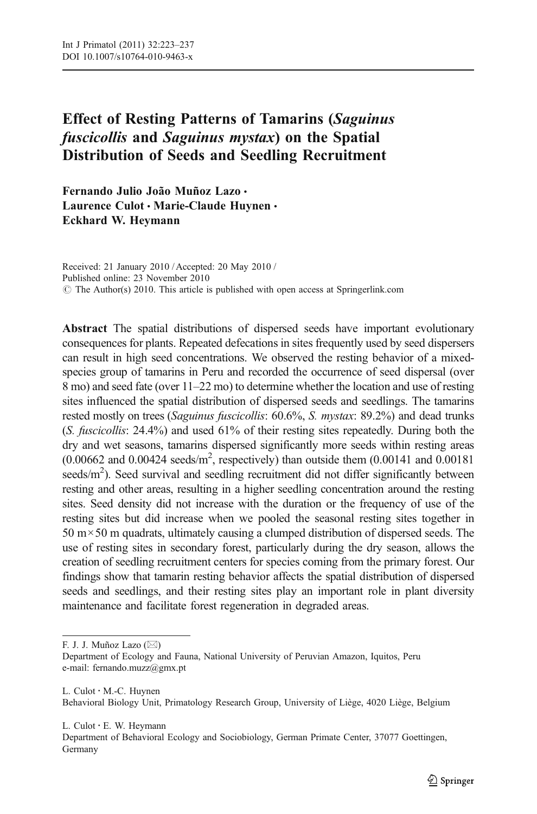# Effect of Resting Patterns of Tamarins (Saguinus fuscicollis and Saguinus mystax) on the Spatial Distribution of Seeds and Seedling Recruitment

Fernando Julio João Muñoz Lazo & Laurence Culot • Marie-Claude Huynen • Eckhard W. Heymann

Received: 21 January 2010 / Accepted: 20 May 2010 / Published online: 23 November 2010  $\circ$  The Author(s) 2010. This article is published with open access at Springerlink.com

Abstract The spatial distributions of dispersed seeds have important evolutionary consequences for plants. Repeated defecations in sites frequently used by seed dispersers can result in high seed concentrations. We observed the resting behavior of a mixedspecies group of tamarins in Peru and recorded the occurrence of seed dispersal (over 8 mo) and seed fate (over 11–22 mo) to determine whether the location and use of resting sites influenced the spatial distribution of dispersed seeds and seedlings. The tamarins rested mostly on trees (Saguinus fuscicollis: 60.6%, S. mystax: 89.2%) and dead trunks (S. fuscicollis: 24.4%) and used 61% of their resting sites repeatedly. During both the dry and wet seasons, tamarins dispersed significantly more seeds within resting areas  $(0.00662$  and  $0.00424$  seeds/m<sup>2</sup>, respectively) than outside them  $(0.00141$  and  $0.00181$ seeds/ $m<sup>2</sup>$ ). Seed survival and seedling recruitment did not differ significantly between resting and other areas, resulting in a higher seedling concentration around the resting sites. Seed density did not increase with the duration or the frequency of use of the resting sites but did increase when we pooled the seasonal resting sites together in  $50 \text{ m} \times 50 \text{ m}$  quadrats, ultimately causing a clumped distribution of dispersed seeds. The use of resting sites in secondary forest, particularly during the dry season, allows the creation of seedling recruitment centers for species coming from the primary forest. Our findings show that tamarin resting behavior affects the spatial distribution of dispersed seeds and seedlings, and their resting sites play an important role in plant diversity maintenance and facilitate forest regeneration in degraded areas.

F. J. J. Muñoz Lazo  $(\boxtimes)$ 

Department of Ecology and Fauna, National University of Peruvian Amazon, Iquitos, Peru e-mail: fernando.muzz@gmx.pt

L. Culot  $\cdot$  M.-C. Huynen Behavioral Biology Unit, Primatology Research Group, University of Liège, 4020 Liège, Belgium

L. Culot : E. W. Heymann Department of Behavioral Ecology and Sociobiology, German Primate Center, 37077 Goettingen, Germany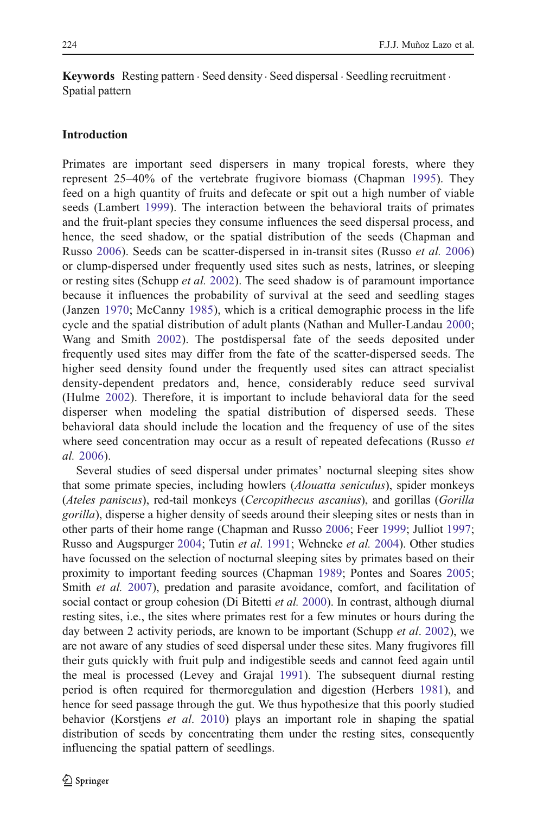Keywords Resting pattern . Seed density . Seed dispersal . Seedling recruitment . Spatial pattern

#### Introduction

Primates are important seed dispersers in many tropical forests, where they represent 25–40% of the vertebrate frugivore biomass (Chapman [1995](#page-13-0)). They feed on a high quantity of fruits and defecate or spit out a high number of viable seeds (Lambert [1999\)](#page-13-0). The interaction between the behavioral traits of primates and the fruit-plant species they consume influences the seed dispersal process, and hence, the seed shadow, or the spatial distribution of the seeds (Chapman and Russo [2006](#page-13-0)). Seeds can be scatter-dispersed in in-transit sites (Russo et al. [2006](#page-14-0)) or clump-dispersed under frequently used sites such as nests, latrines, or sleeping or resting sites (Schupp *et al.* [2002](#page-14-0)). The seed shadow is of paramount importance because it influences the probability of survival at the seed and seedling stages (Janzen [1970;](#page-13-0) McCanny [1985\)](#page-14-0), which is a critical demographic process in the life cycle and the spatial distribution of adult plants (Nathan and Muller-Landau [2000;](#page-14-0) Wang and Smith [2002\)](#page-14-0). The postdispersal fate of the seeds deposited under frequently used sites may differ from the fate of the scatter-dispersed seeds. The higher seed density found under the frequently used sites can attract specialist density-dependent predators and, hence, considerably reduce seed survival (Hulme [2002\)](#page-13-0). Therefore, it is important to include behavioral data for the seed disperser when modeling the spatial distribution of dispersed seeds. These behavioral data should include the location and the frequency of use of the sites where seed concentration may occur as a result of repeated defecations (Russo et al. [2006](#page-14-0)).

Several studies of seed dispersal under primates' nocturnal sleeping sites show that some primate species, including howlers (Alouatta seniculus), spider monkeys (Ateles paniscus), red-tail monkeys (Cercopithecus ascanius), and gorillas (Gorilla gorilla), disperse a higher density of seeds around their sleeping sites or nests than in other parts of their home range (Chapman and Russo [2006;](#page-13-0) Feer [1999;](#page-13-0) Julliot [1997;](#page-13-0) Russo and Augspurger [2004](#page-14-0); Tutin et al. [1991](#page-14-0); Wehncke et al. [2004\)](#page-14-0). Other studies have focussed on the selection of nocturnal sleeping sites by primates based on their proximity to important feeding sources (Chapman [1989](#page-13-0); Pontes and Soares [2005;](#page-14-0) Smith et al. [2007\)](#page-14-0), predation and parasite avoidance, comfort, and facilitation of social contact or group cohesion (Di Bitetti *et al.* [2000\)](#page-13-0). In contrast, although diurnal resting sites, i.e., the sites where primates rest for a few minutes or hours during the day between 2 activity periods, are known to be important (Schupp *et al.* [2002](#page-14-0)), we are not aware of any studies of seed dispersal under these sites. Many frugivores fill their guts quickly with fruit pulp and indigestible seeds and cannot feed again until the meal is processed (Levey and Grajal [1991\)](#page-14-0). The subsequent diurnal resting period is often required for thermoregulation and digestion (Herbers [1981\)](#page-13-0), and hence for seed passage through the gut. We thus hypothesize that this poorly studied behavior (Korstjens *et al.* [2010](#page-13-0)) plays an important role in shaping the spatial distribution of seeds by concentrating them under the resting sites, consequently influencing the spatial pattern of seedlings.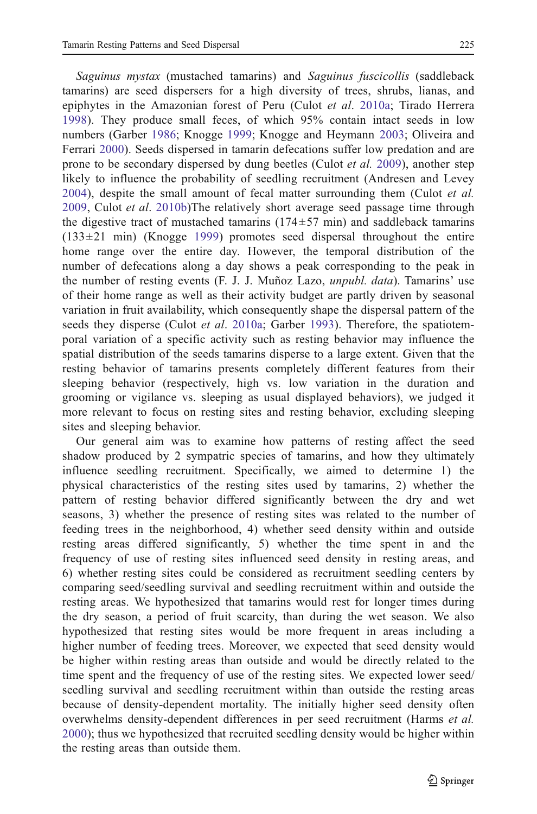Saguinus mystax (mustached tamarins) and Saguinus fuscicollis (saddleback tamarins) are seed dispersers for a high diversity of trees, shrubs, lianas, and epiphytes in the Amazonian forest of Peru (Culot et al. [2010a;](#page-13-0) Tirado Herrera [1998](#page-14-0)). They produce small feces, of which 95% contain intact seeds in low numbers (Garber [1986](#page-13-0); Knogge [1999](#page-13-0); Knogge and Heymann [2003](#page-13-0); Oliveira and Ferrari [2000\)](#page-14-0). Seeds dispersed in tamarin defecations suffer low predation and are prone to be secondary dispersed by dung beetles (Culot *et al.* [2009\)](#page-13-0), another step likely to influence the probability of seedling recruitment (Andresen and Levey [2004](#page-13-0)), despite the small amount of fecal matter surrounding them (Culot et al. [2009](#page-13-0), Culot et al. [2010b](#page-13-0))The relatively short average seed passage time through the digestive tract of mustached tamarins  $(174 \pm 57 \text{ min})$  and saddleback tamarins  $(133\pm21 \text{ min})$  (Knogge [1999](#page-13-0)) promotes seed dispersal throughout the entire home range over the entire day. However, the temporal distribution of the number of defecations along a day shows a peak corresponding to the peak in the number of resting events (F. J. J. Muñoz Lazo, unpubl. data). Tamarins' use of their home range as well as their activity budget are partly driven by seasonal variation in fruit availability, which consequently shape the dispersal pattern of the seeds they disperse (Culot et al. [2010a](#page-13-0); Garber [1993\)](#page-13-0). Therefore, the spatiotemporal variation of a specific activity such as resting behavior may influence the spatial distribution of the seeds tamarins disperse to a large extent. Given that the resting behavior of tamarins presents completely different features from their sleeping behavior (respectively, high vs. low variation in the duration and grooming or vigilance vs. sleeping as usual displayed behaviors), we judged it more relevant to focus on resting sites and resting behavior, excluding sleeping sites and sleeping behavior.

Our general aim was to examine how patterns of resting affect the seed shadow produced by 2 sympatric species of tamarins, and how they ultimately influence seedling recruitment. Specifically, we aimed to determine 1) the physical characteristics of the resting sites used by tamarins, 2) whether the pattern of resting behavior differed significantly between the dry and wet seasons, 3) whether the presence of resting sites was related to the number of feeding trees in the neighborhood, 4) whether seed density within and outside resting areas differed significantly, 5) whether the time spent in and the frequency of use of resting sites influenced seed density in resting areas, and 6) whether resting sites could be considered as recruitment seedling centers by comparing seed/seedling survival and seedling recruitment within and outside the resting areas. We hypothesized that tamarins would rest for longer times during the dry season, a period of fruit scarcity, than during the wet season. We also hypothesized that resting sites would be more frequent in areas including a higher number of feeding trees. Moreover, we expected that seed density would be higher within resting areas than outside and would be directly related to the time spent and the frequency of use of the resting sites. We expected lower seed/ seedling survival and seedling recruitment within than outside the resting areas because of density-dependent mortality. The initially higher seed density often overwhelms density-dependent differences in per seed recruitment (Harms et al. [2000](#page-13-0)); thus we hypothesized that recruited seedling density would be higher within the resting areas than outside them.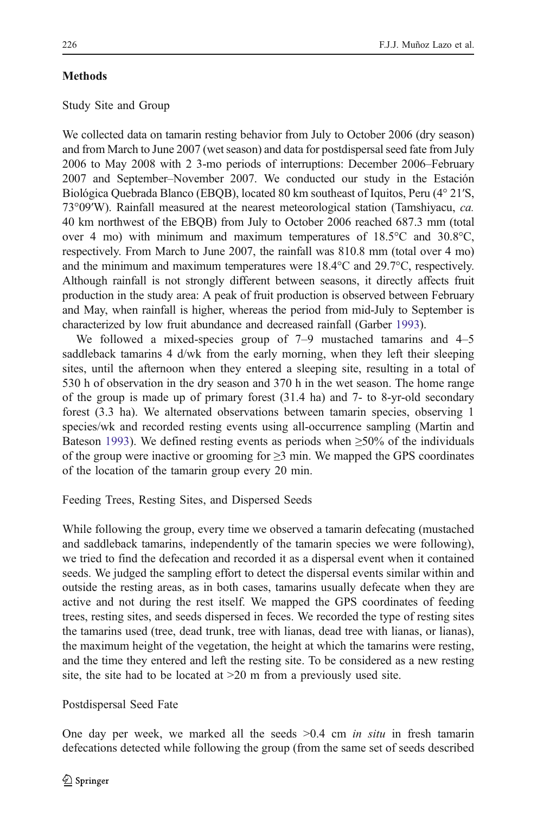## Methods

## Study Site and Group

We collected data on tamarin resting behavior from July to October 2006 (dry season) and from March to June 2007 (wet season) and data for postdispersal seed fate from July 2006 to May 2008 with 2 3-mo periods of interruptions: December 2006–February 2007 and September–November 2007. We conducted our study in the Estación Biológica Quebrada Blanco (EBQB), located 80 km southeast of Iquitos, Peru (4° 21′S, 73°09′W). Rainfall measured at the nearest meteorological station (Tamshiyacu, ca. 40 km northwest of the EBQB) from July to October 2006 reached 687.3 mm (total over 4 mo) with minimum and maximum temperatures of 18.5°C and 30.8°C, respectively. From March to June 2007, the rainfall was 810.8 mm (total over 4 mo) and the minimum and maximum temperatures were 18.4°C and 29.7°C, respectively. Although rainfall is not strongly different between seasons, it directly affects fruit production in the study area: A peak of fruit production is observed between February and May, when rainfall is higher, whereas the period from mid-July to September is characterized by low fruit abundance and decreased rainfall (Garber [1993\)](#page-13-0).

We followed a mixed-species group of 7–9 mustached tamarins and 4–5 saddleback tamarins 4 d/wk from the early morning, when they left their sleeping sites, until the afternoon when they entered a sleeping site, resulting in a total of 530 h of observation in the dry season and 370 h in the wet season. The home range of the group is made up of primary forest (31.4 ha) and 7- to 8-yr-old secondary forest (3.3 ha). We alternated observations between tamarin species, observing 1 species/wk and recorded resting events using all-occurrence sampling (Martin and Bateson [1993](#page-14-0)). We defined resting events as periods when  $\geq 50\%$  of the individuals of the group were inactive or grooming for  $\geq$ 3 min. We mapped the GPS coordinates of the location of the tamarin group every 20 min.

Feeding Trees, Resting Sites, and Dispersed Seeds

While following the group, every time we observed a tamarin defecating (mustached and saddleback tamarins, independently of the tamarin species we were following), we tried to find the defecation and recorded it as a dispersal event when it contained seeds. We judged the sampling effort to detect the dispersal events similar within and outside the resting areas, as in both cases, tamarins usually defecate when they are active and not during the rest itself. We mapped the GPS coordinates of feeding trees, resting sites, and seeds dispersed in feces. We recorded the type of resting sites the tamarins used (tree, dead trunk, tree with lianas, dead tree with lianas, or lianas), the maximum height of the vegetation, the height at which the tamarins were resting, and the time they entered and left the resting site. To be considered as a new resting site, the site had to be located at  $>20$  m from a previously used site.

# Postdispersal Seed Fate

One day per week, we marked all the seeds >0.4 cm in situ in fresh tamarin defecations detected while following the group (from the same set of seeds described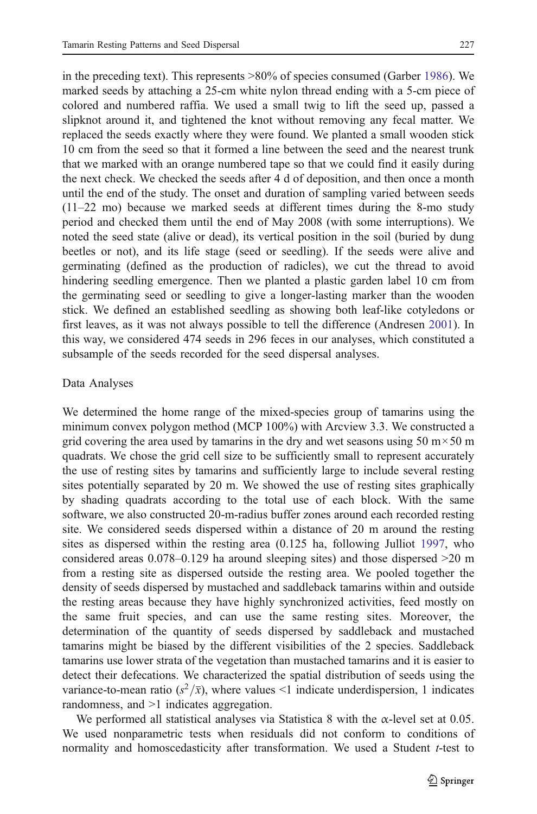in the preceding text). This represents >80% of species consumed (Garber [1986](#page-13-0)). We marked seeds by attaching a 25-cm white nylon thread ending with a 5-cm piece of colored and numbered raffia. We used a small twig to lift the seed up, passed a slipknot around it, and tightened the knot without removing any fecal matter. We replaced the seeds exactly where they were found. We planted a small wooden stick 10 cm from the seed so that it formed a line between the seed and the nearest trunk that we marked with an orange numbered tape so that we could find it easily during the next check. We checked the seeds after 4 d of deposition, and then once a month until the end of the study. The onset and duration of sampling varied between seeds (11–22 mo) because we marked seeds at different times during the 8-mo study period and checked them until the end of May 2008 (with some interruptions). We noted the seed state (alive or dead), its vertical position in the soil (buried by dung beetles or not), and its life stage (seed or seedling). If the seeds were alive and germinating (defined as the production of radicles), we cut the thread to avoid hindering seedling emergence. Then we planted a plastic garden label 10 cm from the germinating seed or seedling to give a longer-lasting marker than the wooden stick. We defined an established seedling as showing both leaf-like cotyledons or first leaves, as it was not always possible to tell the difference (Andresen [2001](#page-12-0)). In this way, we considered 474 seeds in 296 feces in our analyses, which constituted a subsample of the seeds recorded for the seed dispersal analyses.

#### Data Analyses

We determined the home range of the mixed-species group of tamarins using the minimum convex polygon method (MCP 100%) with Arcview 3.3. We constructed a grid covering the area used by tamarins in the dry and wet seasons using 50 m $\times$  50 m quadrats. We chose the grid cell size to be sufficiently small to represent accurately the use of resting sites by tamarins and sufficiently large to include several resting sites potentially separated by 20 m. We showed the use of resting sites graphically by shading quadrats according to the total use of each block. With the same software, we also constructed 20-m-radius buffer zones around each recorded resting site. We considered seeds dispersed within a distance of 20 m around the resting sites as dispersed within the resting area (0.125 ha, following Julliot [1997](#page-13-0), who considered areas 0.078–0.129 ha around sleeping sites) and those dispersed >20 m from a resting site as dispersed outside the resting area. We pooled together the density of seeds dispersed by mustached and saddleback tamarins within and outside the resting areas because they have highly synchronized activities, feed mostly on the same fruit species, and can use the same resting sites. Moreover, the determination of the quantity of seeds dispersed by saddleback and mustached tamarins might be biased by the different visibilities of the 2 species. Saddleback tamarins use lower strata of the vegetation than mustached tamarins and it is easier to detect their defecations. We characterized the spatial distribution of seeds using the variance-to-mean ratio  $(s^2/\overline{x})$ , where values <1 indicate underdispersion, 1 indicates randomness, and >1 indicates aggregation.

We performed all statistical analyses via Statistica 8 with the  $\alpha$ -level set at 0.05. We used nonparametric tests when residuals did not conform to conditions of normality and homoscedasticity after transformation. We used a Student *t*-test to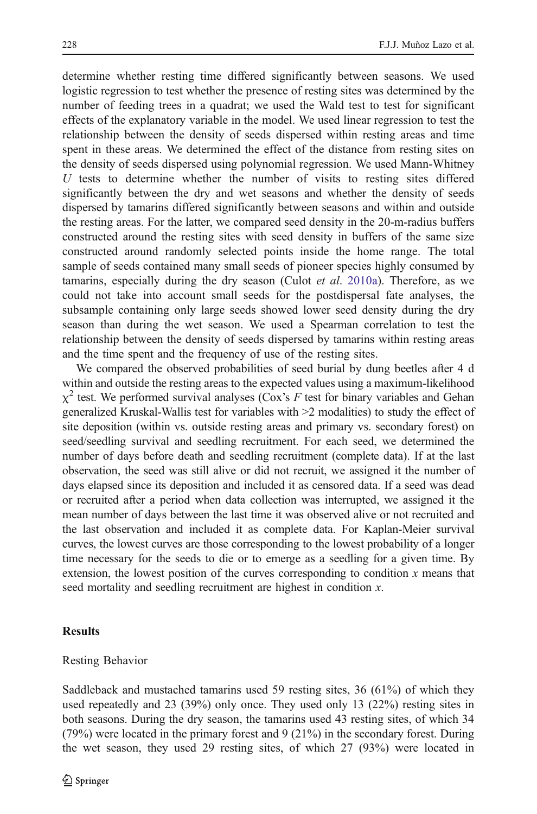determine whether resting time differed significantly between seasons. We used logistic regression to test whether the presence of resting sites was determined by the number of feeding trees in a quadrat; we used the Wald test to test for significant effects of the explanatory variable in the model. We used linear regression to test the relationship between the density of seeds dispersed within resting areas and time spent in these areas. We determined the effect of the distance from resting sites on the density of seeds dispersed using polynomial regression. We used Mann-Whitney U tests to determine whether the number of visits to resting sites differed significantly between the dry and wet seasons and whether the density of seeds dispersed by tamarins differed significantly between seasons and within and outside the resting areas. For the latter, we compared seed density in the 20-m-radius buffers constructed around the resting sites with seed density in buffers of the same size constructed around randomly selected points inside the home range. The total sample of seeds contained many small seeds of pioneer species highly consumed by tamarins, especially during the dry season (Culot et al. [2010a](#page-13-0)). Therefore, as we could not take into account small seeds for the postdispersal fate analyses, the subsample containing only large seeds showed lower seed density during the dry season than during the wet season. We used a Spearman correlation to test the relationship between the density of seeds dispersed by tamarins within resting areas and the time spent and the frequency of use of the resting sites.

We compared the observed probabilities of seed burial by dung beetles after 4 d within and outside the resting areas to the expected values using a maximum-likelihood  $\chi^2$  test. We performed survival analyses (Cox's F test for binary variables and Gehan generalized Kruskal-Wallis test for variables with >2 modalities) to study the effect of site deposition (within vs. outside resting areas and primary vs. secondary forest) on seed/seedling survival and seedling recruitment. For each seed, we determined the number of days before death and seedling recruitment (complete data). If at the last observation, the seed was still alive or did not recruit, we assigned it the number of days elapsed since its deposition and included it as censored data. If a seed was dead or recruited after a period when data collection was interrupted, we assigned it the mean number of days between the last time it was observed alive or not recruited and the last observation and included it as complete data. For Kaplan-Meier survival curves, the lowest curves are those corresponding to the lowest probability of a longer time necessary for the seeds to die or to emerge as a seedling for a given time. By extension, the lowest position of the curves corresponding to condition  $x$  means that seed mortality and seedling recruitment are highest in condition x.

#### Results

#### Resting Behavior

Saddleback and mustached tamarins used 59 resting sites, 36 (61%) of which they used repeatedly and 23 (39%) only once. They used only 13 (22%) resting sites in both seasons. During the dry season, the tamarins used 43 resting sites, of which 34 (79%) were located in the primary forest and 9 (21%) in the secondary forest. During the wet season, they used 29 resting sites, of which 27 (93%) were located in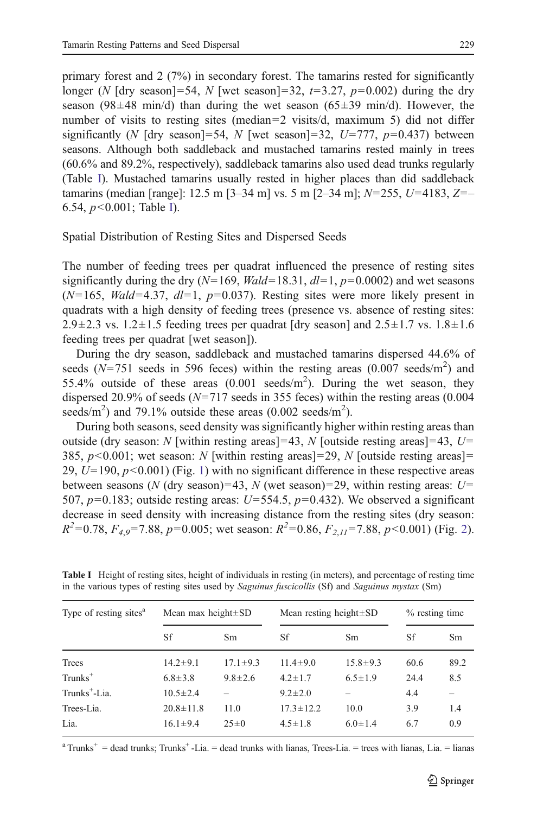primary forest and 2 (7%) in secondary forest. The tamarins rested for significantly longer (N [dry season]=54, N [wet season]=32,  $t=3.27$ ,  $p=0.002$ ) during the dry season (98 $\pm$ 48 min/d) than during the wet season (65 $\pm$ 39 min/d). However, the number of visits to resting sites (median=2 visits/d, maximum 5) did not differ significantly (N [dry season]=54, N [wet season]=32,  $U=777$ ,  $p=0.437$ ) between seasons. Although both saddleback and mustached tamarins rested mainly in trees (60.6% and 89.2%, respectively), saddleback tamarins also used dead trunks regularly (Table I). Mustached tamarins usually rested in higher places than did saddleback tamarins (median [range]: 12.5 m [3–34 m] vs. 5 m [2–34 m];  $N=255$ ,  $U=4183$ ,  $Z=-$ 6.54,  $p<0.001$ ; Table I).

Spatial Distribution of Resting Sites and Dispersed Seeds

The number of feeding trees per quadrat influenced the presence of resting sites significantly during the dry  $(N=169, \text{Wald}=18.31, \text{dl}=1, p=0.0002)$  and wet seasons  $(N=165, \text{ Wald}=4.37, \text{ dl}=1, p=0.037)$ . Resting sites were more likely present in quadrats with a high density of feeding trees (presence vs. absence of resting sites: 2.9 $\pm$ 2.3 vs. 1.2 $\pm$ 1.5 feeding trees per quadrat [dry season] and 2.5 $\pm$ 1.7 vs. 1.8 $\pm$ 1.6 feeding trees per quadrat [wet season]).

During the dry season, saddleback and mustached tamarins dispersed 44.6% of seeds  $(N=751$  seeds in 596 feces) within the resting areas  $(0.007 \text{ seeds/m}^2)$  and 55.4% outside of these areas  $(0.001 \text{ seeds/m}^2)$ . During the wet season, they dispersed 20.9% of seeds  $(N=717 \text{ seeds in } 355 \text{ fees})$  within the resting areas  $(0.004 \text{ miles})$ seeds/m<sup>2</sup>) and 79.1% outside these areas  $(0.002 \text{ seeds/m}^2)$ .

During both seasons, seed density was significantly higher within resting areas than outside (dry season:  $N$  [within resting areas]=43,  $N$  [outside resting areas]=43,  $U=$ 385,  $p<0.001$ ; wet season: N [within resting areas]=29, N [outside resting areas]= 29,  $U=190$ ,  $p<0.001$ ) (Fig. [1\)](#page-7-0) with no significant difference in these respective areas between seasons (N (dry season)=43, N (wet season)=29, within resting areas:  $U=$ 507,  $p=0.183$ ; outside resting areas:  $U=554.5$ ,  $p=0.432$ ). We observed a significant decrease in seed density with increasing distance from the resting sites (dry season:  $R^2$ =0.78,  $F_{4,9}$ =7.88,  $p$ =0.005; wet season:  $R^2$ =0.86,  $F_{2,11}$ =7.88,  $p$ <0.001) (Fig. [2\)](#page-7-0).

| Type of resting sites <sup>a</sup> | Mean max height $\pm$ SD |                | Mean resting height $\pm$ SD |                | $%$ resting time |      |
|------------------------------------|--------------------------|----------------|------------------------------|----------------|------------------|------|
|                                    | Sf                       | Sm             | Sf                           | Sm             | Sf               | Sm   |
| Trees                              | $14.2 \pm 9.1$           | $17.1 \pm 9.3$ | $11.4 \pm 9.0$               | $15.8 \pm 9.3$ | 60.6             | 89.2 |
| $Trunks^+$                         | $6.8 \pm 3.8$            | $9.8 \pm 2.6$  | $4.2 \pm 1.7$                | $6.5 \pm 1.9$  | 24.4             | 8.5  |
| $Trunks^+$ -Lia.                   | $10.5 \pm 2.4$           |                | $9.2 \pm 2.0$                |                | 4.4              |      |
| Trees-Lia.                         | $20.8 \pm 11.8$          | 11.0           | $17.3 \pm 12.2$              | 10.0           | 3.9              | 1.4  |
| Lia.                               | $16.1 \pm 9.4$           | $25 \pm 0$     | $4.5 \pm 1.8$                | $6.0 \pm 1.4$  | 6.7              | 0.9  |

Table I Height of resting sites, height of individuals in resting (in meters), and percentage of resting time in the various types of resting sites used by Saguinus fuscicollis (Sf) and Saguinus mystax (Sm)

 $a^*$ Trunks<sup>+</sup> = dead trunks; Trunks<sup>+</sup> -Lia. = dead trunks with lianas, Trees-Lia. = trees with lianas, Lia. = lianas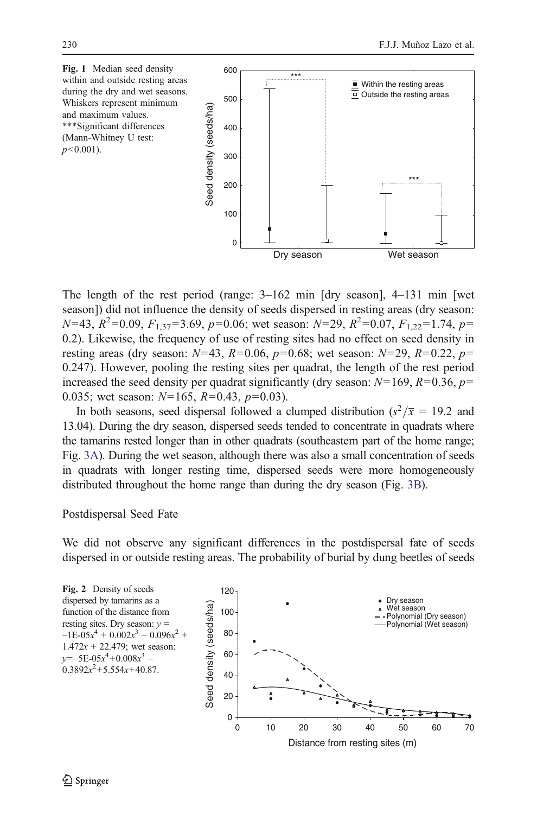<span id="page-7-0"></span>

The length of the rest period (range: 3–162 min [dry season], 4–131 min [wet season]) did not influence the density of seeds dispersed in resting areas (dry season:  $N=43$ ,  $R^2=0.09$ ,  $F_{1,37}=3.69$ ,  $p=0.06$ ; wet season:  $N=29$ ,  $R^2=0.07$ ,  $F_{1,22}=1.74$ ,  $p=$ 0.2). Likewise, the frequency of use of resting sites had no effect on seed density in resting areas (dry season:  $N=43$ ,  $R=0.06$ ,  $p=0.68$ ; wet season:  $N=29$ ,  $R=0.22$ ,  $p=$ 0.247). However, pooling the resting sites per quadrat, the length of the rest period increased the seed density per quadrat significantly (dry season:  $N=169$ ,  $R=0.36$ ,  $p=$ 0.035; wet season:  $N=165$ ,  $R=0.43$ ,  $p=0.03$ ).

In both seasons, seed dispersal followed a clumped distribution ( $s^2/\overline{x} = 19.2$  and 13.04). During the dry season, dispersed seeds tended to concentrate in quadrats where the tamarins rested longer than in other quadrats (southeastern part of the home range; Fig. [3A\)](#page-8-0). During the wet season, although there was also a small concentration of seeds in quadrats with longer resting time, dispersed seeds were more homogeneously distributed throughout the home range than during the dry season (Fig. [3B\)](#page-8-0).

Postdispersal Seed Fate

We did not observe any significant differences in the postdispersal fate of seeds dispersed in or outside resting areas. The probability of burial by dung beetles of seeds

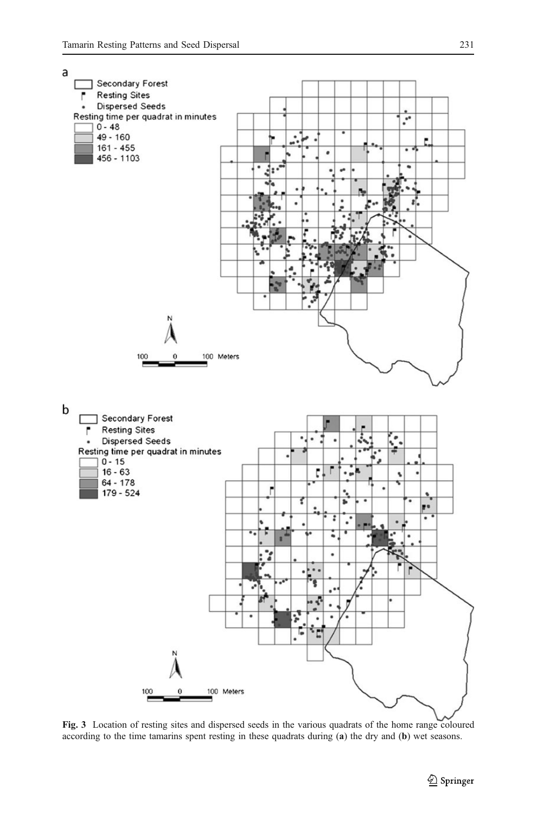<span id="page-8-0"></span>

Fig. 3 Location of resting sites and dispersed seeds in the various quadrats of the home range coloured according to the time tamarins spent resting in these quadrats during (a) the dry and (b) wet seasons.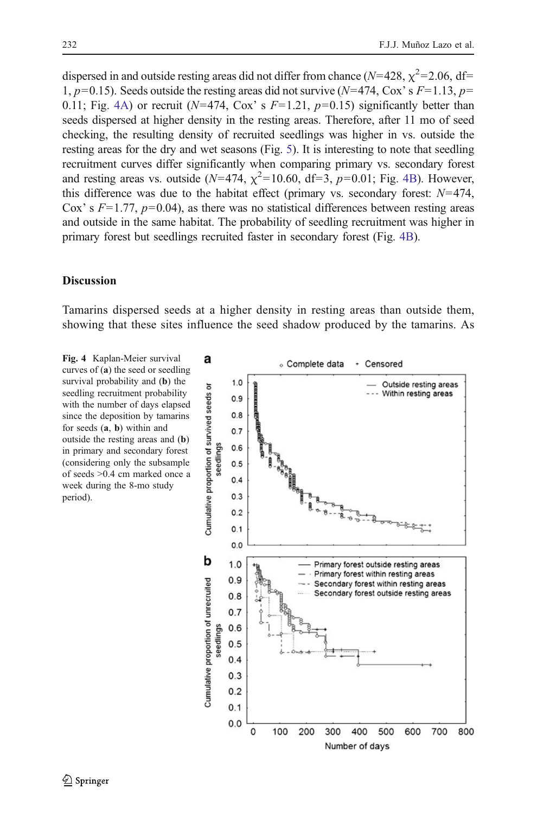dispersed in and outside resting areas did not differ from chance ( $N=428$ ,  $\chi^2=2.06$ , df= 1,  $p=0.15$ ). Seeds outside the resting areas did not survive (N=474, Cox' s  $F=1.13$ ,  $p=$ 0.11; Fig. 4A) or recruit ( $N=474$ , Cox' s  $F=1.21$ ,  $p=0.15$ ) significantly better than seeds dispersed at higher density in the resting areas. Therefore, after 11 mo of seed checking, the resulting density of recruited seedlings was higher in vs. outside the resting areas for the dry and wet seasons (Fig. [5](#page-10-0)). It is interesting to note that seedling recruitment curves differ significantly when comparing primary vs. secondary forest and resting areas vs. outside ( $N=474$ ,  $\chi^2=10.60$ , df=3,  $p=0.01$ ; Fig. 4B). However, this difference was due to the habitat effect (primary vs. secondary forest:  $N=474$ , Cox' s  $F=1.77$ ,  $p=0.04$ ), as there was no statistical differences between resting areas and outside in the same habitat. The probability of seedling recruitment was higher in primary forest but seedlings recruited faster in secondary forest (Fig. 4B).

### **Discussion**

Tamarins dispersed seeds at a higher density in resting areas than outside them, showing that these sites influence the seed shadow produced by the tamarins. As

Fig. 4 Kaplan-Meier survival curves of (a) the seed or seedling survival probability and (b) the seedling recruitment probability with the number of days elapsed since the deposition by tamarins for seeds (a, b) within and outside the resting areas and (b) in primary and secondary forest (considering only the subsample of seeds >0.4 cm marked once a week during the 8-mo study period).

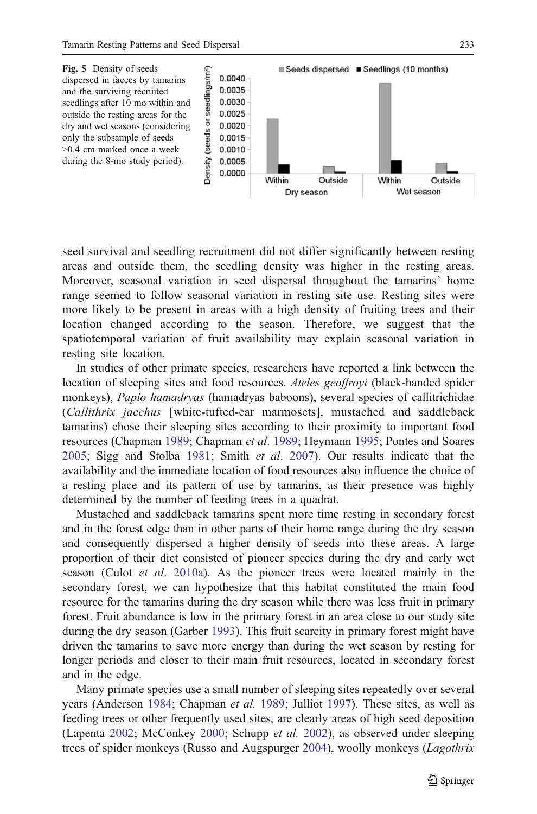<span id="page-10-0"></span>

seed survival and seedling recruitment did not differ significantly between resting areas and outside them, the seedling density was higher in the resting areas. Moreover, seasonal variation in seed dispersal throughout the tamarins' home range seemed to follow seasonal variation in resting site use. Resting sites were more likely to be present in areas with a high density of fruiting trees and their location changed according to the season. Therefore, we suggest that the spatiotemporal variation of fruit availability may explain seasonal variation in resting site location.

In studies of other primate species, researchers have reported a link between the location of sleeping sites and food resources. Ateles geoffroyi (black-handed spider monkeys), Papio hamadryas (hamadryas baboons), several species of callitrichidae (Callithrix jacchus [white-tufted-ear marmosets], mustached and saddleback tamarins) chose their sleeping sites according to their proximity to important food resources (Chapman [1989;](#page-13-0) Chapman et al. [1989;](#page-13-0) Heymann [1995](#page-13-0); Pontes and Soares [2005;](#page-14-0) Sigg and Stolba [1981;](#page-14-0) Smith et al. [2007](#page-14-0)). Our results indicate that the availability and the immediate location of food resources also influence the choice of a resting place and its pattern of use by tamarins, as their presence was highly determined by the number of feeding trees in a quadrat.

Mustached and saddleback tamarins spent more time resting in secondary forest and in the forest edge than in other parts of their home range during the dry season and consequently dispersed a higher density of seeds into these areas. A large proportion of their diet consisted of pioneer species during the dry and early wet season (Culot et al. [2010a\)](#page-13-0). As the pioneer trees were located mainly in the secondary forest, we can hypothesize that this habitat constituted the main food resource for the tamarins during the dry season while there was less fruit in primary forest. Fruit abundance is low in the primary forest in an area close to our study site during the dry season (Garber [1993\)](#page-13-0). This fruit scarcity in primary forest might have driven the tamarins to save more energy than during the wet season by resting for longer periods and closer to their main fruit resources, located in secondary forest and in the edge.

Many primate species use a small number of sleeping sites repeatedly over several years (Anderson [1984;](#page-12-0) Chapman et al. [1989](#page-13-0); Julliot [1997\)](#page-13-0). These sites, as well as feeding trees or other frequently used sites, are clearly areas of high seed deposition (Lapenta [2002;](#page-13-0) McConkey [2000;](#page-14-0) Schupp et al. [2002](#page-14-0)), as observed under sleeping trees of spider monkeys (Russo and Augspurger [2004\)](#page-14-0), woolly monkeys (Lagothrix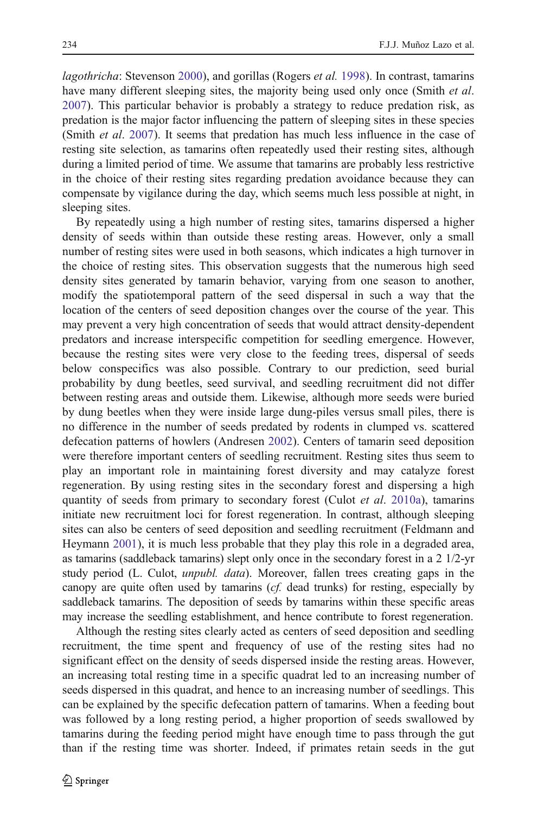lagothricha: Stevenson [2000\)](#page-14-0), and gorillas (Rogers et al. [1998](#page-14-0)). In contrast, tamarins have many different sleeping sites, the majority being used only once (Smith *et al.*) [2007\)](#page-14-0). This particular behavior is probably a strategy to reduce predation risk, as predation is the major factor influencing the pattern of sleeping sites in these species (Smith et al. [2007\)](#page-14-0). It seems that predation has much less influence in the case of resting site selection, as tamarins often repeatedly used their resting sites, although during a limited period of time. We assume that tamarins are probably less restrictive in the choice of their resting sites regarding predation avoidance because they can compensate by vigilance during the day, which seems much less possible at night, in sleeping sites.

By repeatedly using a high number of resting sites, tamarins dispersed a higher density of seeds within than outside these resting areas. However, only a small number of resting sites were used in both seasons, which indicates a high turnover in the choice of resting sites. This observation suggests that the numerous high seed density sites generated by tamarin behavior, varying from one season to another, modify the spatiotemporal pattern of the seed dispersal in such a way that the location of the centers of seed deposition changes over the course of the year. This may prevent a very high concentration of seeds that would attract density-dependent predators and increase interspecific competition for seedling emergence. However, because the resting sites were very close to the feeding trees, dispersal of seeds below conspecifics was also possible. Contrary to our prediction, seed burial probability by dung beetles, seed survival, and seedling recruitment did not differ between resting areas and outside them. Likewise, although more seeds were buried by dung beetles when they were inside large dung-piles versus small piles, there is no difference in the number of seeds predated by rodents in clumped vs. scattered defecation patterns of howlers (Andresen [2002\)](#page-12-0). Centers of tamarin seed deposition were therefore important centers of seedling recruitment. Resting sites thus seem to play an important role in maintaining forest diversity and may catalyze forest regeneration. By using resting sites in the secondary forest and dispersing a high quantity of seeds from primary to secondary forest (Culot *et al.* [2010a\)](#page-13-0), tamarins initiate new recruitment loci for forest regeneration. In contrast, although sleeping sites can also be centers of seed deposition and seedling recruitment (Feldmann and Heymann [2001](#page-13-0)), it is much less probable that they play this role in a degraded area, as tamarins (saddleback tamarins) slept only once in the secondary forest in a 2 1/2-yr study period (L. Culot, unpubl. data). Moreover, fallen trees creating gaps in the canopy are quite often used by tamarins  $(cf.$  dead trunks) for resting, especially by saddleback tamarins. The deposition of seeds by tamarins within these specific areas may increase the seedling establishment, and hence contribute to forest regeneration.

Although the resting sites clearly acted as centers of seed deposition and seedling recruitment, the time spent and frequency of use of the resting sites had no significant effect on the density of seeds dispersed inside the resting areas. However, an increasing total resting time in a specific quadrat led to an increasing number of seeds dispersed in this quadrat, and hence to an increasing number of seedlings. This can be explained by the specific defecation pattern of tamarins. When a feeding bout was followed by a long resting period, a higher proportion of seeds swallowed by tamarins during the feeding period might have enough time to pass through the gut than if the resting time was shorter. Indeed, if primates retain seeds in the gut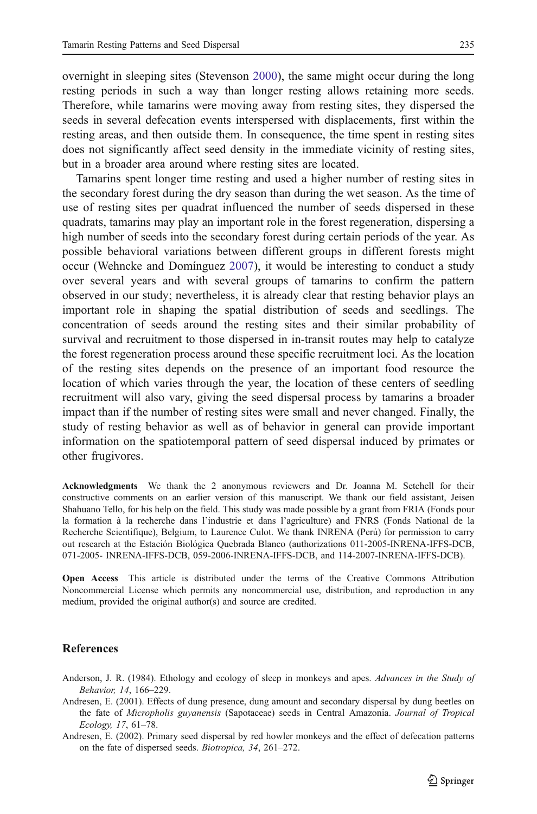<span id="page-12-0"></span>overnight in sleeping sites (Stevenson [2000](#page-14-0)), the same might occur during the long resting periods in such a way than longer resting allows retaining more seeds. Therefore, while tamarins were moving away from resting sites, they dispersed the seeds in several defecation events interspersed with displacements, first within the resting areas, and then outside them. In consequence, the time spent in resting sites does not significantly affect seed density in the immediate vicinity of resting sites, but in a broader area around where resting sites are located.

Tamarins spent longer time resting and used a higher number of resting sites in the secondary forest during the dry season than during the wet season. As the time of use of resting sites per quadrat influenced the number of seeds dispersed in these quadrats, tamarins may play an important role in the forest regeneration, dispersing a high number of seeds into the secondary forest during certain periods of the year. As possible behavioral variations between different groups in different forests might occur (Wehncke and Domínguez [2007\)](#page-14-0), it would be interesting to conduct a study over several years and with several groups of tamarins to confirm the pattern observed in our study; nevertheless, it is already clear that resting behavior plays an important role in shaping the spatial distribution of seeds and seedlings. The concentration of seeds around the resting sites and their similar probability of survival and recruitment to those dispersed in in-transit routes may help to catalyze the forest regeneration process around these specific recruitment loci. As the location of the resting sites depends on the presence of an important food resource the location of which varies through the year, the location of these centers of seedling recruitment will also vary, giving the seed dispersal process by tamarins a broader impact than if the number of resting sites were small and never changed. Finally, the study of resting behavior as well as of behavior in general can provide important information on the spatiotemporal pattern of seed dispersal induced by primates or other frugivores.

Acknowledgments We thank the 2 anonymous reviewers and Dr. Joanna M. Setchell for their constructive comments on an earlier version of this manuscript. We thank our field assistant, Jeisen Shahuano Tello, for his help on the field. This study was made possible by a grant from FRIA (Fonds pour la formation à la recherche dans l'industrie et dans l'agriculture) and FNRS (Fonds National de la Recherche Scientifique), Belgium, to Laurence Culot. We thank INRENA (Perú) for permission to carry out research at the Estación Biológica Quebrada Blanco (authorizations 011-2005-INRENA-IFFS-DCB, 071-2005- INRENA-IFFS-DCB, 059-2006-INRENA-IFFS-DCB, and 114-2007-INRENA-IFFS-DCB).

Open Access This article is distributed under the terms of the Creative Commons Attribution Noncommercial License which permits any noncommercial use, distribution, and reproduction in any medium, provided the original author(s) and source are credited.

#### **References**

- Anderson, J. R. (1984). Ethology and ecology of sleep in monkeys and apes. Advances in the Study of Behavior, 14, 166–229.
- Andresen, E. (2001). Effects of dung presence, dung amount and secondary dispersal by dung beetles on the fate of Micropholis guyanensis (Sapotaceae) seeds in Central Amazonia. Journal of Tropical Ecology, 17, 61–78.
- Andresen, E. (2002). Primary seed dispersal by red howler monkeys and the effect of defecation patterns on the fate of dispersed seeds. Biotropica, 34, 261–272.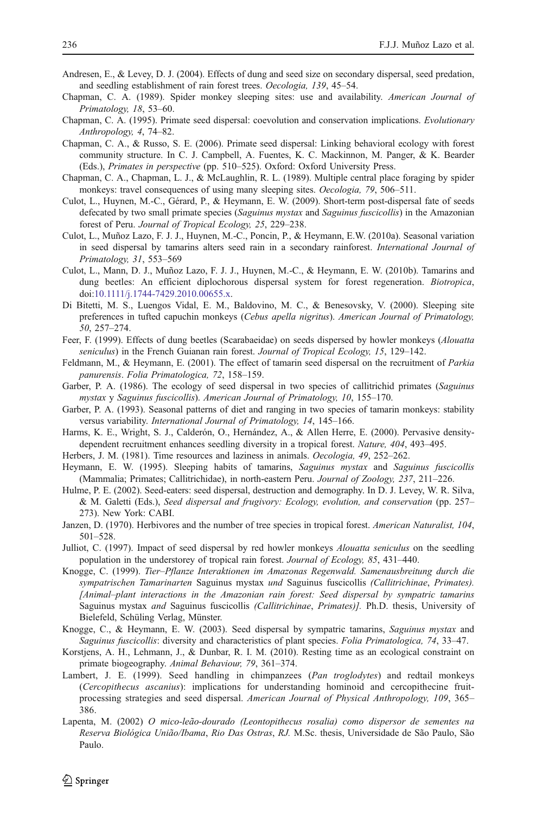- <span id="page-13-0"></span>Andresen, E., & Levey, D. J. (2004). Effects of dung and seed size on secondary dispersal, seed predation, and seedling establishment of rain forest trees. Oecologia, 139, 45–54.
- Chapman, C. A. (1989). Spider monkey sleeping sites: use and availability. American Journal of Primatology, 18, 53–60.
- Chapman, C. A. (1995). Primate seed dispersal: coevolution and conservation implications. Evolutionary Anthropology, 4, 74–82.
- Chapman, C. A., & Russo, S. E. (2006). Primate seed dispersal: Linking behavioral ecology with forest community structure. In C. J. Campbell, A. Fuentes, K. C. Mackinnon, M. Panger, & K. Bearder (Eds.), Primates in perspective (pp. 510–525). Oxford: Oxford University Press.
- Chapman, C. A., Chapman, L. J., & McLaughlin, R. L. (1989). Multiple central place foraging by spider monkeys: travel consequences of using many sleeping sites. Oecologia, 79, 506–511.
- Culot, L., Huynen, M.-C., Gérard, P., & Heymann, E. W. (2009). Short-term post-dispersal fate of seeds defecated by two small primate species (Saguinus mystax and Saguinus fuscicollis) in the Amazonian forest of Peru. Journal of Tropical Ecology, 25, 229–238.
- Culot, L., Muñoz Lazo, F. J. J., Huynen, M.-C., Poncin, P., & Heymann, E.W. (2010a). Seasonal variation in seed dispersal by tamarins alters seed rain in a secondary rainforest. International Journal of Primatology, 31, 553–569
- Culot, L., Mann, D. J., Muñoz Lazo, F. J. J., Huynen, M.-C., & Heymann, E. W. (2010b). Tamarins and dung beetles: An efficient diplochorous dispersal system for forest regeneration. Biotropica, doi[:10.1111/j.1744-7429.2010.00655.x.](http://dx.doi.org/10.1111/j.1744-7429.2010.00655.x)
- Di Bitetti, M. S., Luengos Vidal, E. M., Baldovino, M. C., & Benesovsky, V. (2000). Sleeping site preferences in tufted capuchin monkeys (Cebus apella nigritus). American Journal of Primatology, 50, 257–274.
- Feer, F. (1999). Effects of dung beetles (Scarabaeidae) on seeds dispersed by howler monkeys (Alouatta seniculus) in the French Guianan rain forest. Journal of Tropical Ecology, 15, 129–142.
- Feldmann, M., & Heymann, E. (2001). The effect of tamarin seed dispersal on the recruitment of *Parkia* panurensis. Folia Primatologica, 72, 158–159.
- Garber, P. A. (1986). The ecology of seed dispersal in two species of callitrichid primates (Saguinus mystax y Saguinus fuscicollis). American Journal of Primatology, 10, 155–170.
- Garber, P. A. (1993). Seasonal patterns of diet and ranging in two species of tamarin monkeys: stability versus variability. International Journal of Primatology, 14, 145–166.
- Harms, K. E., Wright, S. J., Calderón, O., Hernández, A., & Allen Herre, E. (2000). Pervasive densitydependent recruitment enhances seedling diversity in a tropical forest. Nature, 404, 493–495.
- Herbers, J. M. (1981). Time resources and laziness in animals. Oecologia, 49, 252–262.
- Heymann, E. W. (1995). Sleeping habits of tamarins, Saguinus mystax and Saguinus fuscicollis (Mammalia; Primates; Callitrichidae), in north-eastern Peru. Journal of Zoology, 237, 211–226.
- Hulme, P. E. (2002). Seed-eaters: seed dispersal, destruction and demography. In D. J. Levey, W. R. Silva, & M. Galetti (Eds.), Seed dispersal and frugivory: Ecology, evolution, and conservation (pp. 257– 273). New York: CABI.
- Janzen, D. (1970). Herbivores and the number of tree species in tropical forest. American Naturalist, 104, 501–528.
- Julliot, C. (1997). Impact of seed dispersal by red howler monkeys Alouatta seniculus on the seedling population in the understorey of tropical rain forest. Journal of Ecology, 85, 431–440.
- Knogge, C. (1999). Tier–Pflanze Interaktionen im Amazonas Regenwald. Samenausbreitung durch die sympatrischen Tamarinarten Saguinus mystax und Saguinus fuscicollis (Callitrichinae, Primates). [Animal–plant interactions in the Amazonian rain forest: Seed dispersal by sympatric tamarins Saguinus mystax and Saguinus fuscicollis (Callitrichinae, Primates)]. Ph.D. thesis, University of Bielefeld, Schüling Verlag, Münster.
- Knogge, C., & Heymann, E. W. (2003). Seed dispersal by sympatric tamarins, Saguinus mystax and Saguinus fuscicollis: diversity and characteristics of plant species. Folia Primatologica, 74, 33–47.
- Korstjens, A. H., Lehmann, J., & Dunbar, R. I. M. (2010). Resting time as an ecological constraint on primate biogeography. Animal Behaviour, 79, 361–374.
- Lambert, J. E. (1999). Seed handling in chimpanzees (Pan troglodytes) and redtail monkeys (Cercopithecus ascanius): implications for understanding hominoid and cercopithecine fruitprocessing strategies and seed dispersal. American Journal of Physical Anthropology, 109, 365– 386.
- Lapenta, M. (2002) O mico-leão-dourado (Leontopithecus rosalia) como dispersor de sementes na Reserva Biológica União/Ibama, Rio Das Ostras, RJ. M.Sc. thesis, Universidade de São Paulo, São Paulo.